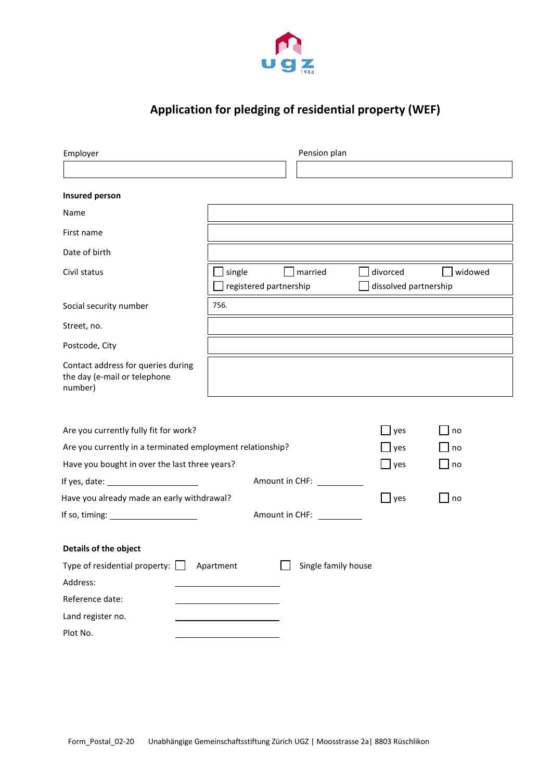

# **Application for pledging of residential property (WEF)**

| Employer                                                                                                                                             |                                  | Pension plan                                                                                                                                                                                                                   |                                                |           |
|------------------------------------------------------------------------------------------------------------------------------------------------------|----------------------------------|--------------------------------------------------------------------------------------------------------------------------------------------------------------------------------------------------------------------------------|------------------------------------------------|-----------|
|                                                                                                                                                      |                                  |                                                                                                                                                                                                                                |                                                |           |
| Insured person                                                                                                                                       |                                  |                                                                                                                                                                                                                                |                                                |           |
| Name                                                                                                                                                 |                                  |                                                                                                                                                                                                                                |                                                |           |
| First name                                                                                                                                           |                                  |                                                                                                                                                                                                                                |                                                |           |
| Date of birth                                                                                                                                        |                                  |                                                                                                                                                                                                                                |                                                |           |
| Civil status                                                                                                                                         | single<br>registered partnership | married                                                                                                                                                                                                                        | divorced<br>dissolved partnership              | widowed   |
| Social security number                                                                                                                               | 756.                             |                                                                                                                                                                                                                                |                                                |           |
| Street, no.                                                                                                                                          |                                  |                                                                                                                                                                                                                                |                                                |           |
| Postcode, City                                                                                                                                       |                                  |                                                                                                                                                                                                                                |                                                |           |
| Contact address for queries during<br>the day (e-mail or telephone<br>number)                                                                        |                                  |                                                                                                                                                                                                                                |                                                |           |
| Are you currently fully fit for work?<br>Are you currently in a terminated employment relationship?<br>Have you bought in over the last three years? |                                  | $\mathsf{\mathsf{J}}$ yes<br>$\mathsf{\rfloor}$ yes<br>$\mathbf{\perp}$ yes                                                                                                                                                    | no<br>$\overline{\phantom{a}}$ no<br>$\Box$ no |           |
|                                                                                                                                                      |                                  | Amount in CHF: \[\]                                                                                                                                                                                                            |                                                |           |
| Have you already made an early withdrawal?                                                                                                           |                                  |                                                                                                                                                                                                                                | $\Box$ yes                                     | $\Box$ no |
| If so, timing: _________________________                                                                                                             |                                  | Amount in CHF: \\square\\sqrt{\sqrt{\small^{\small^{\small^{\small^{\small^{\small^{\small^{\small^{\small^{\small^{\small^{\small^{\small^{\small^{\small^{\small^{\small^{\small^{\small^{\small^{\small^{\small^{\small^{\s |                                                |           |
| Details of the object                                                                                                                                |                                  |                                                                                                                                                                                                                                |                                                |           |
| Type of residential property: $\Box$ Apartment                                                                                                       |                                  | $\Box$ Single family house                                                                                                                                                                                                     |                                                |           |
| Address:                                                                                                                                             |                                  |                                                                                                                                                                                                                                |                                                |           |
| Reference date:                                                                                                                                      |                                  |                                                                                                                                                                                                                                |                                                |           |
| Land register no.                                                                                                                                    |                                  |                                                                                                                                                                                                                                |                                                |           |
| Plot No.                                                                                                                                             |                                  |                                                                                                                                                                                                                                |                                                |           |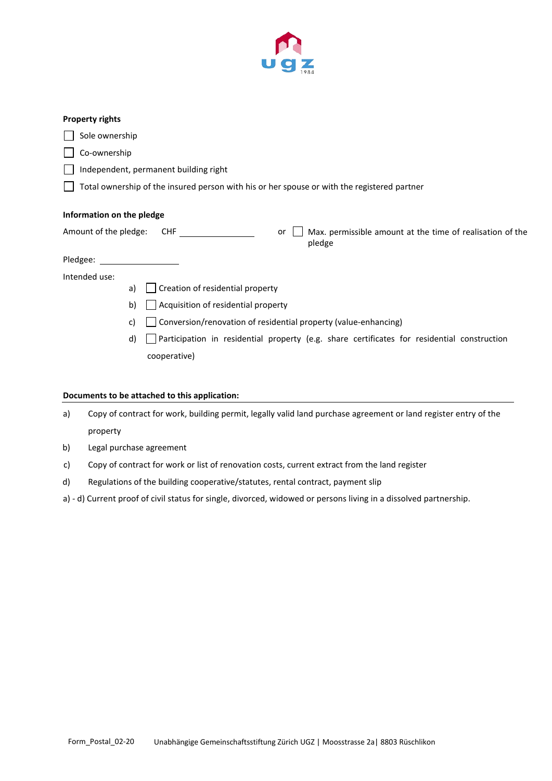

#### **Property rights**

| Sole ownership             |                                                                                             |
|----------------------------|---------------------------------------------------------------------------------------------|
| Co-ownership               |                                                                                             |
|                            | Independent, permanent building right                                                       |
|                            | Total ownership of the insured person with his or her spouse or with the registered partner |
| Information on the pledge  |                                                                                             |
| Amount of the pledge:      | Max. permissible amount at the time of realisation of the<br>CHF<br>or<br>pledge            |
| Pledgee: National Pledgee: |                                                                                             |
| Intended use:              |                                                                                             |
| a)                         | Creation of residential property                                                            |
| b)                         | Acquisition of residential property                                                         |
| C)                         | Conversion/renovation of residential property (value-enhancing)                             |
| d)                         | Participation in residential property (e.g. share certificates for residential construction |
|                            | cooperative)                                                                                |
|                            |                                                                                             |

### **Documents to be attached to this application:**

| a) | Copy of contract for work, building permit, legally valid land purchase agreement or land register entry of the |
|----|-----------------------------------------------------------------------------------------------------------------|
|    | property                                                                                                        |

- b) Legal purchase agreement
- c) Copy of contract for work or list of renovation costs, current extract from the land register
- d) Regulations of the building cooperative/statutes, rental contract, payment slip
- a) d) Current proof of civil status for single, divorced, widowed or persons living in a dissolved partnership.